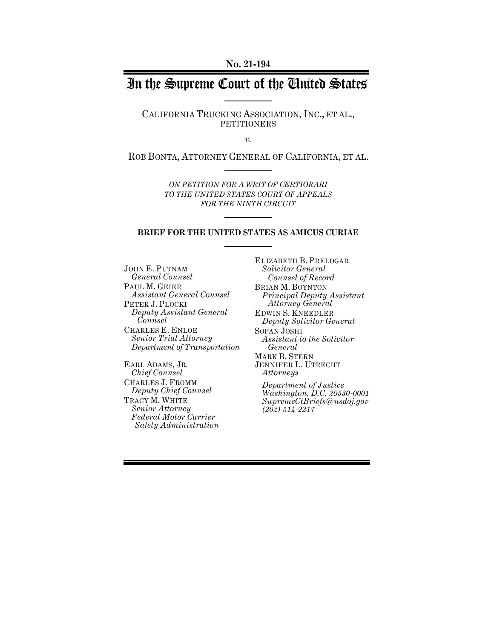**No. 21-194**

# In the Supreme Court of the United States

CALIFORNIA TRUCKING ASSOCIATION, INC., ET AL., PETITIONERS

*v.*

ROB BONTA, ATTORNEY GENERAL OF CALIFORNIA, ET AL.

*ON PETITION FOR A WRIT OF CERTIORARI TO THE UNITED STATES COURT OF APPEALS FOR THE NINTH CIRCUIT* 

#### **BRIEF FOR THE UNITED STATES AS AMICUS CURIAE**

JOHN E. PUTNAM *General Counsel* PAUL M. GEIER *Assistant General Counsel*  PETER J. PLOCKI *Deputy Assistant General Counsel*  CHARLES E. ENLOE *Senior Trial Attorney Department of Transportation* 

EARL ADAMS, JR. *Chief Counsel* CHARLES J. FROMM *Deputy Chief Counsel* TRACY M. WHITE *Senior Attorney Federal Motor Carrier Safety Administration* ELIZABETH B. PRELOGAR *Solicitor General Counsel of Record* BRIAN M. BOYNTON *Principal Deputy Assistant Attorney General* EDWIN S. KNEEDLER *Deputy Solicitor General* SOPAN JOSHI *Assistant to the Solicitor General* MARK B. STERN JENNIFER L. UTRECHT *Attorneys Department of Justice Washington, D.C. 20530-0001*

*SupremeCtBriefs@usdoj.gov (202) 514-2217*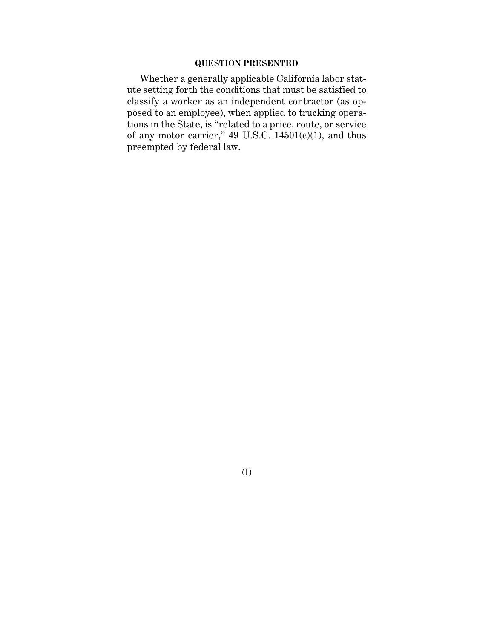### **QUESTION PRESENTED**

Whether a generally applicable California labor statute setting forth the conditions that must be satisfied to classify a worker as an independent contractor (as opposed to an employee), when applied to trucking operations in the State, is "related to a price, route, or service of any motor carrier," 49 U.S.C. 14501(c)(1), and thus preempted by federal law.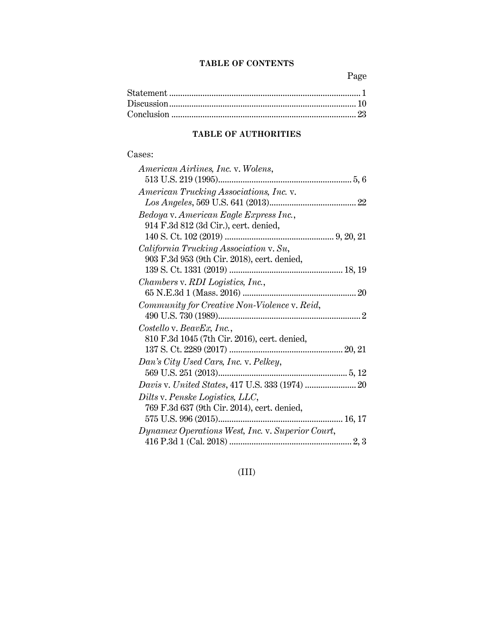## **TABLE OF CONTENTS**

Page

## **TABLE OF AUTHORITIES**

### Cases:

| American Airlines, Inc. v. Wolens,               |
|--------------------------------------------------|
|                                                  |
| American Trucking Associations, Inc. v.          |
|                                                  |
| Bedoya v. American Eagle Express Inc.,           |
| 914 F.3d 812 (3d Cir.), cert. denied,            |
|                                                  |
| California Trucking Association v. Su,           |
| 903 F.3d 953 (9th Cir. 2018), cert. denied,      |
|                                                  |
| Chambers v. RDI Logistics, Inc.,                 |
|                                                  |
| Community for Creative Non-Violence v. Reid,     |
|                                                  |
| Costello v. BeavEx, Inc.,                        |
| 810 F.3d 1045 (7th Cir. 2016), cert. denied,     |
|                                                  |
| Dan's City Used Cars, Inc. v. Pelkey,            |
|                                                  |
|                                                  |
| Dilts v. Penske Logistics, LLC,                  |
| 769 F.3d 637 (9th Cir. 2014), cert. denied,      |
|                                                  |
| Dynamex Operations West, Inc. v. Superior Court, |
|                                                  |

## (III)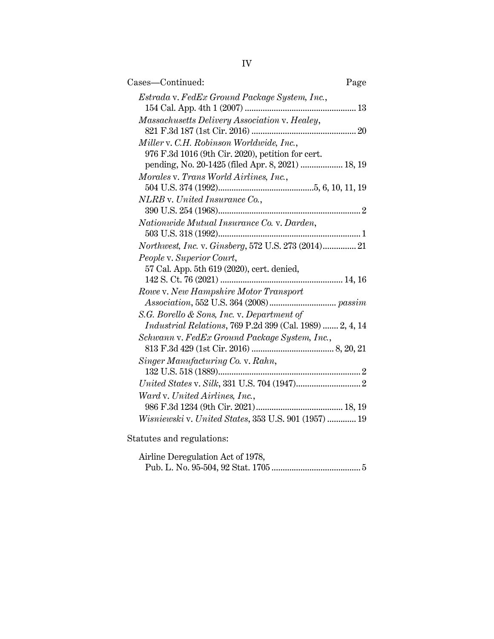| Cases—Continued:                                                                                               | Page |
|----------------------------------------------------------------------------------------------------------------|------|
| Estrada v. FedEx Ground Package System, Inc.,                                                                  |      |
| Massachusetts Delivery Association v. Healey,                                                                  |      |
| Miller v. C.H. Robinson Worldwide, Inc.,<br>976 F.3d 1016 (9th Cir. 2020), petition for cert.                  |      |
| pending, No. 20-1425 (filed Apr. 8, 2021)  18, 19<br>Morales v. Trans World Airlines, Inc.,                    |      |
| NLRB v. United Insurance Co.,                                                                                  |      |
| Nationwide Mutual Insurance Co. v. Darden,                                                                     |      |
|                                                                                                                |      |
| Northwest, Inc. v. Ginsberg, 572 U.S. 273 (2014) 21<br>People v. Superior Court,                               |      |
| 57 Cal. App. 5th 619 (2020), cert. denied,                                                                     |      |
| Rowe v. New Hampshire Motor Transport                                                                          |      |
| S.G. Borello & Sons, Inc. v. Department of<br><i>Industrial Relations</i> , 769 P.2d 399 (Cal. 1989)  2, 4, 14 |      |
| Schwann v. FedEx Ground Package System, Inc.,                                                                  |      |
| Singer Manufacturing Co. v. Rahn,                                                                              |      |
|                                                                                                                |      |
| Ward v. United Airlines, Inc.,                                                                                 |      |
|                                                                                                                |      |
| Wisniewski v. United States, 353 U.S. 901 (1957)  19                                                           |      |
|                                                                                                                |      |

Statutes and regulations:

| Airline Deregulation Act of 1978, |  |
|-----------------------------------|--|
|                                   |  |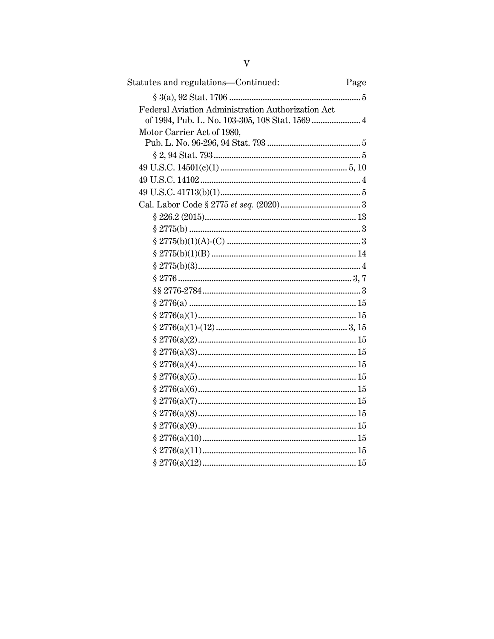| Statutes and regulations-Continued:               | Page |
|---------------------------------------------------|------|
|                                                   |      |
| Federal Aviation Administration Authorization Act |      |
|                                                   |      |
| Motor Carrier Act of 1980,                        |      |
|                                                   |      |
|                                                   |      |
|                                                   |      |
|                                                   |      |
|                                                   |      |
|                                                   |      |
|                                                   |      |
|                                                   |      |
|                                                   |      |
|                                                   |      |
|                                                   |      |
|                                                   |      |
|                                                   |      |
|                                                   |      |
|                                                   |      |
|                                                   |      |
|                                                   |      |
|                                                   |      |
|                                                   |      |
|                                                   |      |
|                                                   |      |
|                                                   |      |
|                                                   |      |
|                                                   |      |
|                                                   |      |
|                                                   |      |
|                                                   |      |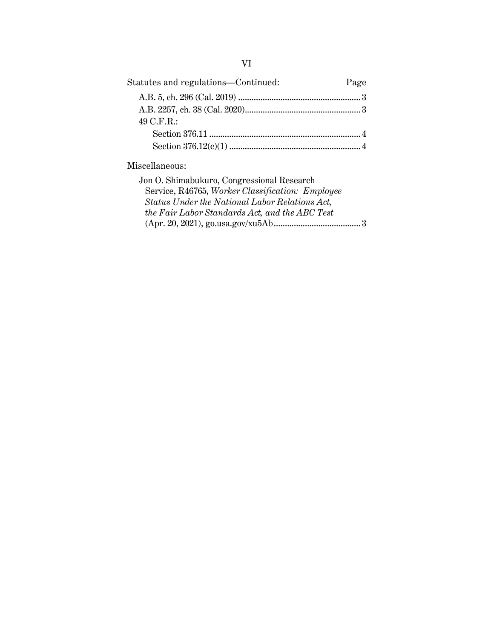| Statutes and regulations-Continued: | Page |
|-------------------------------------|------|
|                                     |      |
|                                     |      |
| 49 C.F.R.:                          |      |
|                                     |      |
|                                     |      |

Miscellaneous:

| Jon O. Shimabukuro, Congressional Research       |  |
|--------------------------------------------------|--|
| Service, R46765, Worker Classification: Employee |  |
| Status Under the National Labor Relations Act.   |  |
| the Fair Labor Standards Act, and the ABC Test   |  |
|                                                  |  |
|                                                  |  |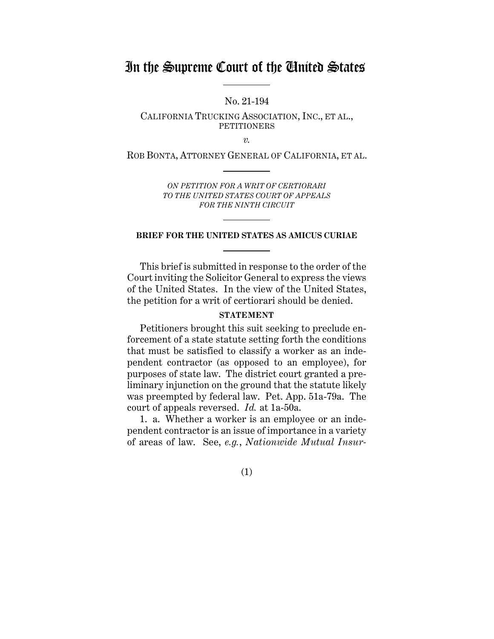# In the Supreme Court of the United States

No. 21-194

CALIFORNIA TRUCKING ASSOCIATION, INC., ET AL., PETITIONERS

*v.*

ROB BONTA, ATTORNEY GENERAL OF CALIFORNIA, ET AL.

*ON PETITION FOR A WRIT OF CERTIORARI TO THE UNITED STATES COURT OF APPEALS FOR THE NINTH CIRCUIT*

### **BRIEF FOR THE UNITED STATES AS AMICUS CURIAE**

This brief is submitted in response to the order of the Court inviting the Solicitor General to express the views of the United States. In the view of the United States, the petition for a writ of certiorari should be denied.

#### **STATEMENT**

Petitioners brought this suit seeking to preclude enforcement of a state statute setting forth the conditions that must be satisfied to classify a worker as an independent contractor (as opposed to an employee), for purposes of state law. The district court granted a preliminary injunction on the ground that the statute likely was preempted by federal law. Pet. App. 51a-79a. The court of appeals reversed. *Id.* at 1a-50a.

1. a. Whether a worker is an employee or an independent contractor is an issue of importance in a variety of areas of law. See, *e.g.*, *Nationwide Mutual Insur-*

(1)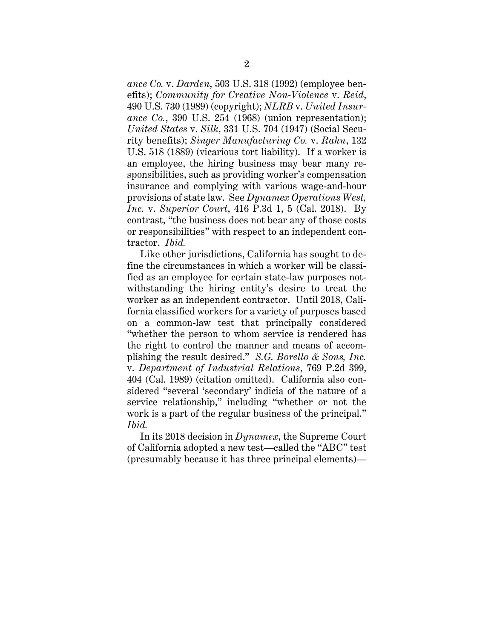*ance Co.* v. *Darden*, 503 U.S. 318 (1992) (employee benefits); *Community for Creative Non-Violence* v. *Reid*, 490 U.S. 730 (1989) (copyright); *NLRB* v. *United Insurance Co.*, 390 U.S. 254 (1968) (union representation); *United States* v. *Silk*, 331 U.S. 704 (1947) (Social Security benefits); *Singer Manufacturing Co.* v. *Rahn*, 132 U.S. 518 (1889) (vicarious tort liability). If a worker is an employee, the hiring business may bear many responsibilities, such as providing worker's compensation insurance and complying with various wage-and-hour provisions of state law. See *Dynamex Operations West, Inc.* v. *Superior Court*, 416 P.3d 1, 5 (Cal. 2018). By contrast, "the business does not bear any of those costs or responsibilities" with respect to an independent contractor. *Ibid.*

Like other jurisdictions, California has sought to define the circumstances in which a worker will be classified as an employee for certain state-law purposes notwithstanding the hiring entity's desire to treat the worker as an independent contractor. Until 2018, California classified workers for a variety of purposes based on a common-law test that principally considered "whether the person to whom service is rendered has the right to control the manner and means of accomplishing the result desired." *S.G. Borello & Sons, Inc.* v. *Department of Industrial Relations*, 769 P.2d 399, 404 (Cal. 1989) (citation omitted). California also considered "several 'secondary' indicia of the nature of a service relationship," including "whether or not the work is a part of the regular business of the principal." *Ibid.*

In its 2018 decision in *Dynamex*, the Supreme Court of California adopted a new test—called the "ABC" test (presumably because it has three principal elements)—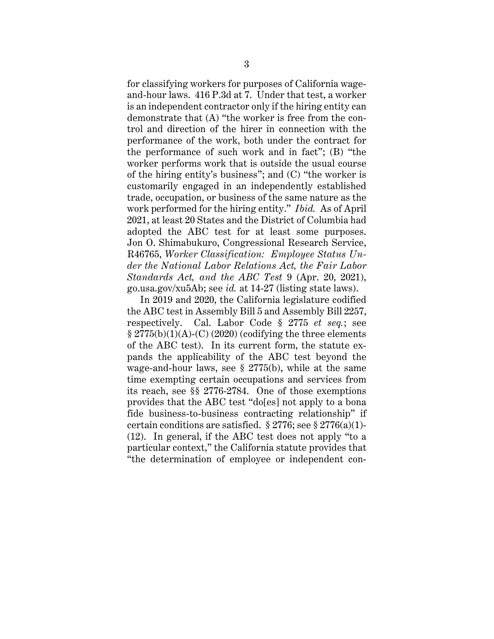for classifying workers for purposes of California wageand-hour laws. 416 P.3d at 7. Under that test, a worker is an independent contractor only if the hiring entity can demonstrate that (A) "the worker is free from the control and direction of the hirer in connection with the performance of the work, both under the contract for the performance of such work and in fact"; (B) "the worker performs work that is outside the usual course of the hiring entity's business"; and (C) "the worker is customarily engaged in an independently established trade, occupation, or business of the same nature as the work performed for the hiring entity." *Ibid.* As of April 2021, at least 20 States and the District of Columbia had adopted the ABC test for at least some purposes. Jon O. Shimabukuro, Congressional Research Service, R46765, *Worker Classification: Employee Status Under the National Labor Relations Act, the Fair Labor Standards Act, and the ABC Test* 9 (Apr. 20, 2021), go.usa.gov/xu5Ab; see *id.* at 14-27 (listing state laws).

In 2019 and 2020, the California legislature codified the ABC test in Assembly Bill 5 and Assembly Bill 2257, respectively. Cal. Labor Code § 2775 *et seq.*; see  $\S 2775(b)(1)(A)-(C) (2020)$  (codifying the three elements of the ABC test). In its current form, the statute expands the applicability of the ABC test beyond the wage-and-hour laws, see § 2775(b), while at the same time exempting certain occupations and services from its reach, see §§ 2776-2784. One of those exemptions provides that the ABC test "do[es] not apply to a bona fide business-to-business contracting relationship" if certain conditions are satisfied.  $\S 2776$ ; see  $\S 2776(a)(1)$ -(12). In general, if the ABC test does not apply "to a particular context," the California statute provides that "the determination of employee or independent con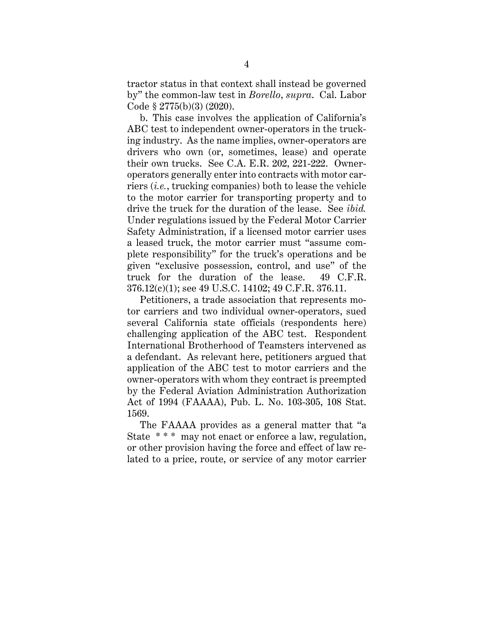tractor status in that context shall instead be governed by" the common-law test in *Borello*, *supra*. Cal. Labor Code § 2775(b)(3) (2020).

b. This case involves the application of California's ABC test to independent owner-operators in the trucking industry. As the name implies, owner-operators are drivers who own (or, sometimes, lease) and operate their own trucks. See C.A. E.R. 202, 221-222. Owneroperators generally enter into contracts with motor carriers (*i.e.*, trucking companies) both to lease the vehicle to the motor carrier for transporting property and to drive the truck for the duration of the lease. See *ibid.* Under regulations issued by the Federal Motor Carrier Safety Administration, if a licensed motor carrier uses a leased truck, the motor carrier must "assume complete responsibility" for the truck's operations and be given "exclusive possession, control, and use" of the truck for the duration of the lease. 49 C.F.R. 376.12(c)(1); see 49 U.S.C. 14102; 49 C.F.R. 376.11.

Petitioners, a trade association that represents motor carriers and two individual owner-operators, sued several California state officials (respondents here) challenging application of the ABC test. Respondent International Brotherhood of Teamsters intervened as a defendant. As relevant here, petitioners argued that application of the ABC test to motor carriers and the owner-operators with whom they contract is preempted by the Federal Aviation Administration Authorization Act of 1994 (FAAAA), Pub. L. No. 103-305, 108 Stat. 1569.

The FAAAA provides as a general matter that "a State \*\*\* may not enact or enforce a law, regulation, or other provision having the force and effect of law related to a price, route, or service of any motor carrier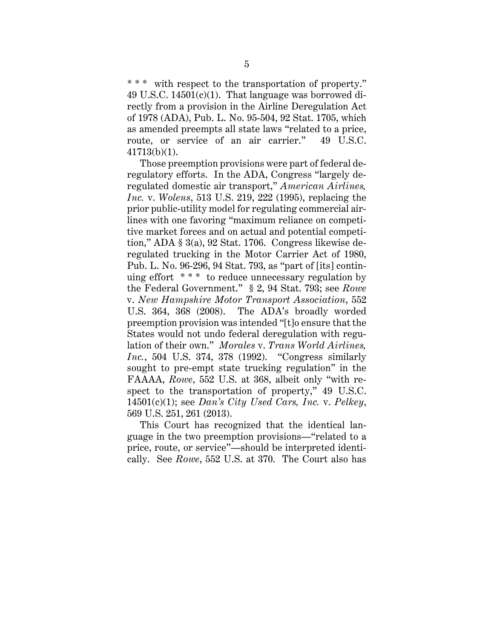\* \* \* with respect to the transportation of property." 49 U.S.C. 14501(c)(1). That language was borrowed directly from a provision in the Airline Deregulation Act of 1978 (ADA), Pub. L. No. 95-504, 92 Stat. 1705, which as amended preempts all state laws "related to a price, route, or service of an air carrier." 49 U.S.C. 41713(b)(1).

Those preemption provisions were part of federal deregulatory efforts. In the ADA, Congress "largely deregulated domestic air transport," *American Airlines, Inc.* v. *Wolens*, 513 U.S. 219, 222 (1995), replacing the prior public-utility model for regulating commercial airlines with one favoring "maximum reliance on competitive market forces and on actual and potential competition," ADA § 3(a), 92 Stat. 1706. Congress likewise deregulated trucking in the Motor Carrier Act of 1980, Pub. L. No. 96-296, 94 Stat. 793, as "part of [its] continuing effort \* \* \* to reduce unnecessary regulation by the Federal Government." § 2, 94 Stat. 793; see *Rowe* v. *New Hampshire Motor Transport Association*, 552 U.S. 364, 368 (2008). The ADA's broadly worded preemption provision was intended "[t]o ensure that the States would not undo federal deregulation with regulation of their own." *Morales* v. *Trans World Airlines, Inc.*, 504 U.S. 374, 378 (1992). "Congress similarly sought to pre-empt state trucking regulation" in the FAAAA, *Rowe*, 552 U.S. at 368, albeit only "with respect to the transportation of property," 49 U.S.C. 14501(c)(1); see *Dan's City Used Cars, Inc.* v. *Pelkey*, 569 U.S. 251, 261 (2013).

This Court has recognized that the identical language in the two preemption provisions—"related to a price, route, or service"—should be interpreted identically. See *Rowe*, 552 U.S. at 370. The Court also has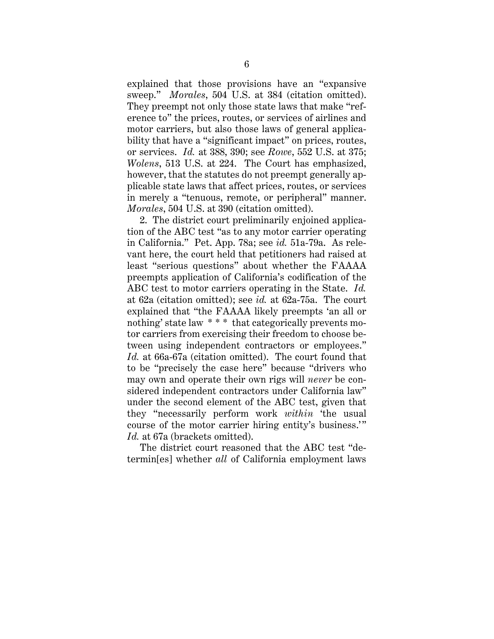explained that those provisions have an "expansive sweep." *Morales*, 504 U.S. at 384 (citation omitted). They preempt not only those state laws that make "reference to" the prices, routes, or services of airlines and motor carriers, but also those laws of general applicability that have a "significant impact" on prices, routes, or services. *Id.* at 388, 390; see *Rowe*, 552 U.S. at 375; *Wolens*, 513 U.S. at 224. The Court has emphasized, however, that the statutes do not preempt generally applicable state laws that affect prices, routes, or services in merely a "tenuous, remote, or peripheral" manner. *Morales*, 504 U.S. at 390 (citation omitted).

2. The district court preliminarily enjoined application of the ABC test "as to any motor carrier operating in California." Pet. App. 78a; see *id.* 51a-79a. As relevant here, the court held that petitioners had raised at least "serious questions" about whether the FAAAA preempts application of California's codification of the ABC test to motor carriers operating in the State. *Id.* at 62a (citation omitted); see *id.* at 62a-75a. The court explained that "the FAAAA likely preempts 'an all or nothing' state law \* \* \* that categorically prevents motor carriers from exercising their freedom to choose between using independent contractors or employees." *Id.* at 66a-67a (citation omitted). The court found that to be "precisely the case here" because "drivers who may own and operate their own rigs will *never* be considered independent contractors under California law" under the second element of the ABC test, given that they "necessarily perform work *within* 'the usual course of the motor carrier hiring entity's business.'" Id. at 67a (brackets omitted).

The district court reasoned that the ABC test "determin[es] whether *all* of California employment laws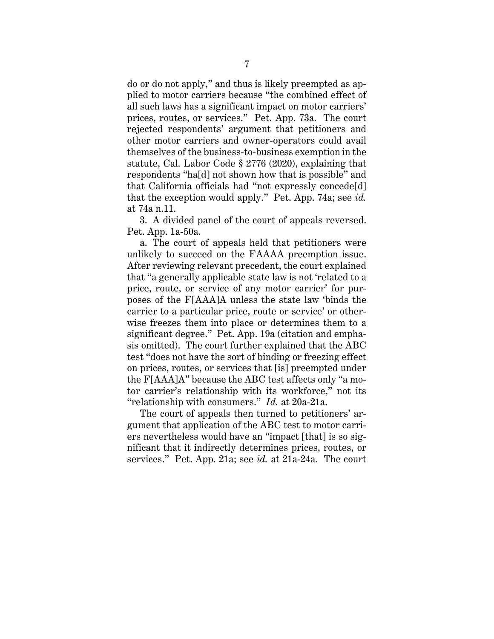do or do not apply," and thus is likely preempted as applied to motor carriers because "the combined effect of all such laws has a significant impact on motor carriers' prices, routes, or services." Pet. App. 73a. The court rejected respondents' argument that petitioners and other motor carriers and owner-operators could avail themselves of the business-to-business exemption in the statute, Cal. Labor Code § 2776 (2020), explaining that respondents "ha[d] not shown how that is possible" and that California officials had "not expressly concede[d] that the exception would apply." Pet. App. 74a; see *id.* at 74a n.11.

3. A divided panel of the court of appeals reversed. Pet. App. 1a-50a.

a. The court of appeals held that petitioners were unlikely to succeed on the FAAAA preemption issue. After reviewing relevant precedent, the court explained that "a generally applicable state law is not 'related to a price, route, or service of any motor carrier' for purposes of the F[AAA]A unless the state law 'binds the carrier to a particular price, route or service' or otherwise freezes them into place or determines them to a significant degree." Pet. App. 19a (citation and emphasis omitted). The court further explained that the ABC test "does not have the sort of binding or freezing effect on prices, routes, or services that [is] preempted under the F[AAA]A" because the ABC test affects only "a motor carrier's relationship with its workforce," not its "relationship with consumers." *Id.* at 20a-21a.

The court of appeals then turned to petitioners' argument that application of the ABC test to motor carriers nevertheless would have an "impact [that] is so significant that it indirectly determines prices, routes, or services." Pet. App. 21a; see *id.* at 21a-24a. The court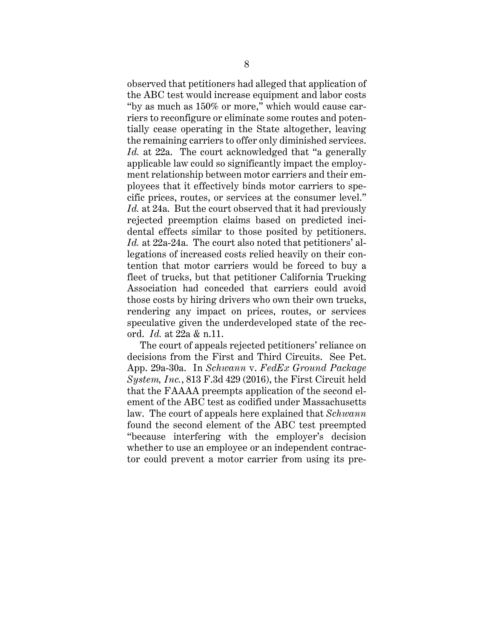observed that petitioners had alleged that application of the ABC test would increase equipment and labor costs "by as much as 150% or more," which would cause carriers to reconfigure or eliminate some routes and potentially cease operating in the State altogether, leaving the remaining carriers to offer only diminished services. *Id.* at 22a. The court acknowledged that "a generally applicable law could so significantly impact the employment relationship between motor carriers and their employees that it effectively binds motor carriers to specific prices, routes, or services at the consumer level." *Id.* at 24a. But the court observed that it had previously rejected preemption claims based on predicted incidental effects similar to those posited by petitioners. *Id.* at 22a-24a. The court also noted that petitioners' allegations of increased costs relied heavily on their contention that motor carriers would be forced to buy a fleet of trucks, but that petitioner California Trucking Association had conceded that carriers could avoid those costs by hiring drivers who own their own trucks, rendering any impact on prices, routes, or services speculative given the underdeveloped state of the record. *Id.* at 22a & n.11.

The court of appeals rejected petitioners' reliance on decisions from the First and Third Circuits. See Pet. App. 29a-30a. In *Schwann* v. *FedEx Ground Package System, Inc.*, 813 F.3d 429 (2016), the First Circuit held that the FAAAA preempts application of the second element of the ABC test as codified under Massachusetts law. The court of appeals here explained that *Schwann* found the second element of the ABC test preempted "because interfering with the employer's decision whether to use an employee or an independent contractor could prevent a motor carrier from using its pre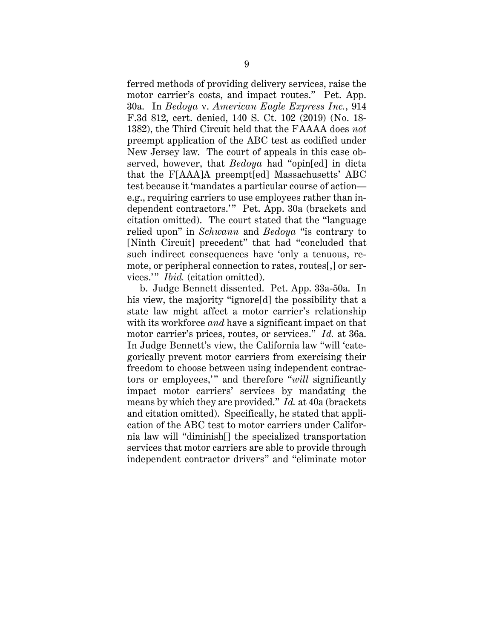ferred methods of providing delivery services, raise the motor carrier's costs, and impact routes." Pet. App. 30a. In *Bedoya* v. *American Eagle Express Inc.*, 914 F.3d 812, cert. denied, 140 S. Ct. 102 (2019) (No. 18- 1382), the Third Circuit held that the FAAAA does *not* preempt application of the ABC test as codified under New Jersey law. The court of appeals in this case observed, however, that *Bedoya* had "opin[ed] in dicta that the F[AAA]A preempt[ed] Massachusetts' ABC test because it 'mandates a particular course of action e.g., requiring carriers to use employees rather than independent contractors.'" Pet. App. 30a (brackets and citation omitted). The court stated that the "language relied upon" in *Schwann* and *Bedoya* "is contrary to [Ninth Circuit] precedent" that had "concluded that such indirect consequences have 'only a tenuous, remote, or peripheral connection to rates, routes[,] or services." *Ibid.* (citation omitted).

b. Judge Bennett dissented. Pet. App. 33a-50a. In his view, the majority "ignore[d] the possibility that a state law might affect a motor carrier's relationship with its workforce *and* have a significant impact on that motor carrier's prices, routes, or services." *Id.* at 36a. In Judge Bennett's view, the California law "will 'categorically prevent motor carriers from exercising their freedom to choose between using independent contractors or employees," and therefore "*will* significantly impact motor carriers' services by mandating the means by which they are provided." *Id.* at 40a (brackets and citation omitted). Specifically, he stated that application of the ABC test to motor carriers under California law will "diminish[] the specialized transportation services that motor carriers are able to provide through independent contractor drivers" and "eliminate motor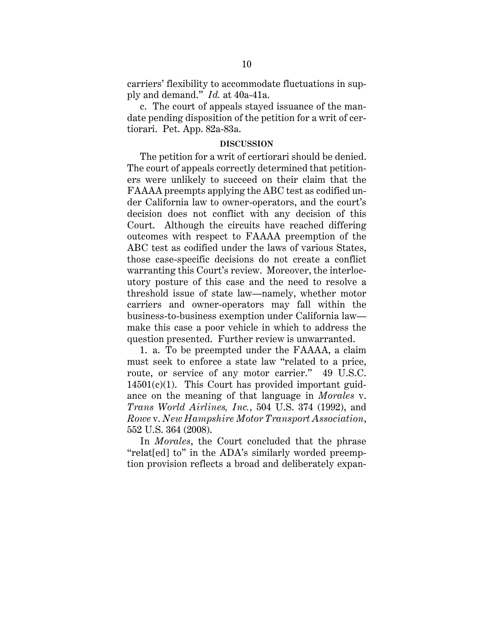carriers' flexibility to accommodate fluctuations in supply and demand." *Id.* at 40a-41a.

c. The court of appeals stayed issuance of the mandate pending disposition of the petition for a writ of certiorari. Pet. App. 82a-83a.

#### **DISCUSSION**

The petition for a writ of certiorari should be denied. The court of appeals correctly determined that petitioners were unlikely to succeed on their claim that the FAAAA preempts applying the ABC test as codified under California law to owner-operators, and the court's decision does not conflict with any decision of this Court. Although the circuits have reached differing outcomes with respect to FAAAA preemption of the ABC test as codified under the laws of various States, those case-specific decisions do not create a conflict warranting this Court's review. Moreover, the interlocutory posture of this case and the need to resolve a threshold issue of state law—namely, whether motor carriers and owner-operators may fall within the business-to-business exemption under California law make this case a poor vehicle in which to address the question presented. Further review is unwarranted.

1. a. To be preempted under the FAAAA, a claim must seek to enforce a state law "related to a price, route, or service of any motor carrier." 49 U.S.C.  $14501(c)(1)$ . This Court has provided important guidance on the meaning of that language in *Morales* v. *Trans World Airlines, Inc.*, 504 U.S. 374 (1992), and *Rowe* v. *New Hampshire Motor Transport Association*, 552 U.S. 364 (2008).

In *Morales*, the Court concluded that the phrase "relat[ed] to" in the ADA's similarly worded preemption provision reflects a broad and deliberately expan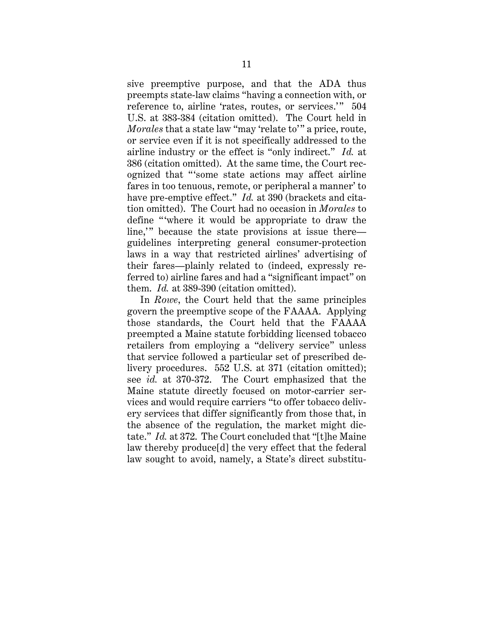sive preemptive purpose, and that the ADA thus preempts state-law claims "having a connection with, or reference to, airline 'rates, routes, or services.'" 504 U.S. at 383-384 (citation omitted). The Court held in *Morales* that a state law "may 'relate to'" a price, route, or service even if it is not specifically addressed to the airline industry or the effect is "only indirect." *Id.* at 386 (citation omitted). At the same time, the Court recognized that "'some state actions may affect airline fares in too tenuous, remote, or peripheral a manner' to have pre-emptive effect." *Id.* at 390 (brackets and citation omitted). The Court had no occasion in *Morales* to define "where it would be appropriate to draw the line," because the state provisions at issue there guidelines interpreting general consumer-protection laws in a way that restricted airlines' advertising of their fares—plainly related to (indeed, expressly referred to) airline fares and had a "significant impact" on them. *Id.* at 389-390 (citation omitted).

In *Rowe*, the Court held that the same principles govern the preemptive scope of the FAAAA. Applying those standards, the Court held that the FAAAA preempted a Maine statute forbidding licensed tobacco retailers from employing a "delivery service" unless that service followed a particular set of prescribed delivery procedures. 552 U.S. at 371 (citation omitted); see *id.* at 370-372. The Court emphasized that the Maine statute directly focused on motor-carrier services and would require carriers "to offer tobacco delivery services that differ significantly from those that, in the absence of the regulation, the market might dictate." *Id.* at 372. The Court concluded that "[t]he Maine law thereby produce[d] the very effect that the federal law sought to avoid, namely, a State's direct substitu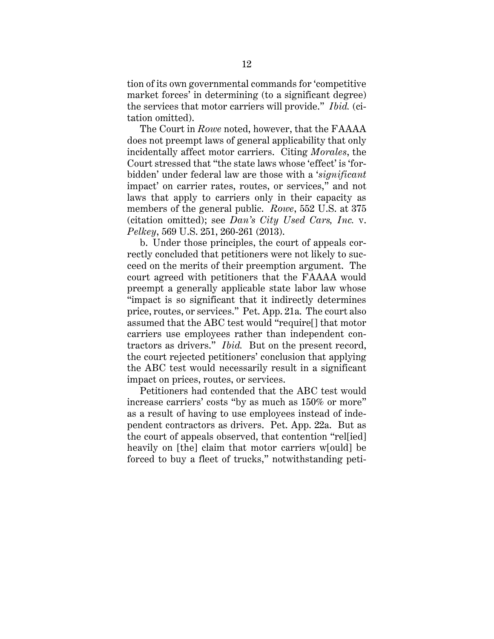tion of its own governmental commands for 'competitive market forces' in determining (to a significant degree) the services that motor carriers will provide." *Ibid.* (citation omitted).

The Court in *Rowe* noted, however, that the FAAAA does not preempt laws of general applicability that only incidentally affect motor carriers. Citing *Morales*, the Court stressed that "the state laws whose 'effect' is 'forbidden' under federal law are those with a '*significant*  impact' on carrier rates, routes, or services," and not laws that apply to carriers only in their capacity as members of the general public. *Rowe*, 552 U.S. at 375 (citation omitted); see *Dan's City Used Cars, Inc.* v. *Pelkey*, 569 U.S. 251, 260-261 (2013).

b. Under those principles, the court of appeals correctly concluded that petitioners were not likely to succeed on the merits of their preemption argument. The court agreed with petitioners that the FAAAA would preempt a generally applicable state labor law whose "impact is so significant that it indirectly determines price, routes, or services." Pet. App. 21a. The court also assumed that the ABC test would "require[] that motor carriers use employees rather than independent contractors as drivers." *Ibid.* But on the present record, the court rejected petitioners' conclusion that applying the ABC test would necessarily result in a significant impact on prices, routes, or services.

Petitioners had contended that the ABC test would increase carriers' costs "by as much as 150% or more" as a result of having to use employees instead of independent contractors as drivers. Pet. App. 22a. But as the court of appeals observed, that contention "rel[ied] heavily on [the] claim that motor carriers w[ould] be forced to buy a fleet of trucks," notwithstanding peti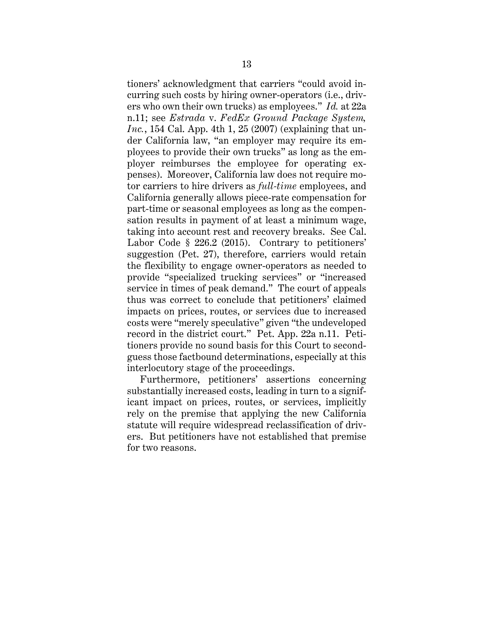tioners' acknowledgment that carriers "could avoid incurring such costs by hiring owner-operators (i.e., drivers who own their own trucks) as employees." *Id.* at 22a n.11; see *Estrada* v. *FedEx Ground Package System, Inc.*, 154 Cal. App. 4th 1, 25 (2007) (explaining that under California law, "an employer may require its employees to provide their own trucks" as long as the employer reimburses the employee for operating expenses). Moreover, California law does not require motor carriers to hire drivers as *full-time* employees, and California generally allows piece-rate compensation for part-time or seasonal employees as long as the compensation results in payment of at least a minimum wage, taking into account rest and recovery breaks. See Cal. Labor Code § 226.2 (2015). Contrary to petitioners' suggestion (Pet. 27), therefore, carriers would retain the flexibility to engage owner-operators as needed to provide "specialized trucking services" or "increased service in times of peak demand." The court of appeals thus was correct to conclude that petitioners' claimed impacts on prices, routes, or services due to increased costs were "merely speculative" given "the undeveloped record in the district court." Pet. App. 22a n.11. Petitioners provide no sound basis for this Court to secondguess those factbound determinations, especially at this interlocutory stage of the proceedings.

Furthermore, petitioners' assertions concerning substantially increased costs, leading in turn to a significant impact on prices, routes, or services, implicitly rely on the premise that applying the new California statute will require widespread reclassification of drivers. But petitioners have not established that premise for two reasons.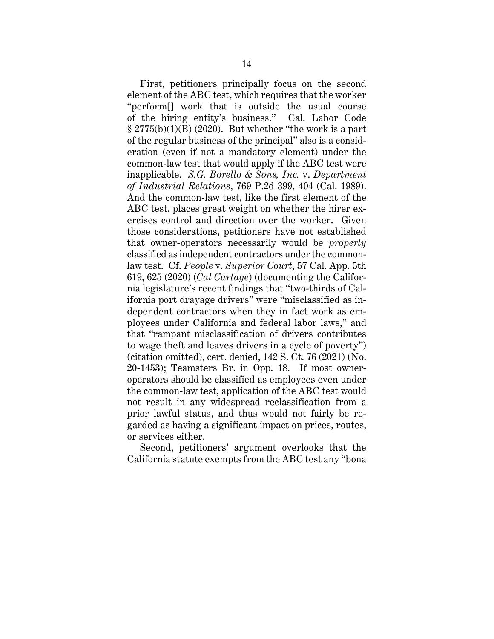First, petitioners principally focus on the second element of the ABC test, which requires that the worker "perform[] work that is outside the usual course of the hiring entity's business." Cal. Labor Code  $\S 2775(b)(1)(B)$  (2020). But whether "the work is a part of the regular business of the principal" also is a consideration (even if not a mandatory element) under the common-law test that would apply if the ABC test were inapplicable. *S.G. Borello & Sons, Inc.* v. *Department of Industrial Relations*, 769 P.2d 399, 404 (Cal. 1989). And the common-law test, like the first element of the ABC test, places great weight on whether the hirer exercises control and direction over the worker. Given those considerations, petitioners have not established that owner-operators necessarily would be *properly* classified as independent contractors under the commonlaw test. Cf. *People* v. *Superior Court*, 57 Cal. App. 5th 619, 625 (2020) (*Cal Cartage*) (documenting the California legislature's recent findings that "two-thirds of California port drayage drivers" were "misclassified as independent contractors when they in fact work as employees under California and federal labor laws," and that "rampant misclassification of drivers contributes to wage theft and leaves drivers in a cycle of poverty") (citation omitted), cert. denied, 142 S. Ct. 76 (2021) (No. 20-1453); Teamsters Br. in Opp. 18. If most owneroperators should be classified as employees even under the common-law test, application of the ABC test would not result in any widespread reclassification from a prior lawful status, and thus would not fairly be regarded as having a significant impact on prices, routes, or services either.

Second, petitioners' argument overlooks that the California statute exempts from the ABC test any "bona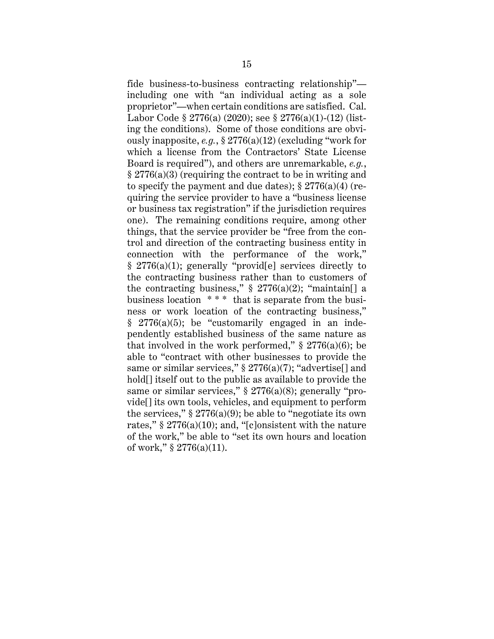fide business-to-business contracting relationship" including one with "an individual acting as a sole proprietor"—when certain conditions are satisfied. Cal. Labor Code § 2776(a) (2020); see § 2776(a)(1)-(12) (listing the conditions). Some of those conditions are obviously inapposite, *e.g.*, § 2776(a)(12) (excluding "work for which a license from the Contractors' State License Board is required"), and others are unremarkable, *e.g.*, § 2776(a)(3) (requiring the contract to be in writing and to specify the payment and due dates);  $\S 2776(a)(4)$  (requiring the service provider to have a "business license or business tax registration" if the jurisdiction requires one). The remaining conditions require, among other things, that the service provider be "free from the control and direction of the contracting business entity in connection with the performance of the work,"  $§$  2776(a)(1); generally "provid[e] services directly to the contracting business rather than to customers of the contracting business,"  $\S 2776(a)(2)$ ; "maintain[] a business location \* \* \* that is separate from the business or work location of the contracting business," § 2776(a)(5); be "customarily engaged in an independently established business of the same nature as that involved in the work performed,"  $\S 2776(a)(6)$ ; be able to "contract with other businesses to provide the same or similar services,"  $\S 2776(a)(7)$ ; "advertise<sup>[]</sup> and hold[] itself out to the public as available to provide the same or similar services,"  $\S 2776(a)(8)$ ; generally "provide[] its own tools, vehicles, and equipment to perform the services,"  $\S 2776(a)(9)$ ; be able to "negotiate its own rates,"  $\S 2776(a)(10)$ ; and, "[c]onsistent with the nature of the work," be able to "set its own hours and location of work,"  $\S 2776(a)(11)$ .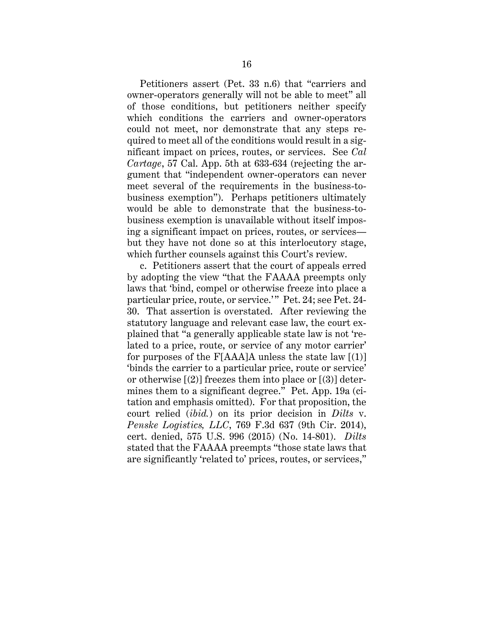Petitioners assert (Pet. 33 n.6) that "carriers and owner-operators generally will not be able to meet" all of those conditions, but petitioners neither specify which conditions the carriers and owner-operators could not meet, nor demonstrate that any steps required to meet all of the conditions would result in a significant impact on prices, routes, or services. See *Cal Cartage*, 57 Cal. App. 5th at 633-634 (rejecting the argument that "independent owner-operators can never meet several of the requirements in the business-tobusiness exemption"). Perhaps petitioners ultimately would be able to demonstrate that the business-tobusiness exemption is unavailable without itself imposing a significant impact on prices, routes, or services but they have not done so at this interlocutory stage, which further counsels against this Court's review.

c. Petitioners assert that the court of appeals erred by adopting the view "that the FAAAA preempts only laws that 'bind, compel or otherwise freeze into place a particular price, route, or service.'" Pet. 24; see Pet. 24-30. That assertion is overstated. After reviewing the statutory language and relevant case law, the court explained that "a generally applicable state law is not 'related to a price, route, or service of any motor carrier' for purposes of the  $F[AAA]$ A unless the state law  $[(1)]$ 'binds the carrier to a particular price, route or service' or otherwise  $(2)$ ] freezes them into place or  $(3)$ ] determines them to a significant degree." Pet. App. 19a (citation and emphasis omitted). For that proposition, the court relied (*ibid.*) on its prior decision in *Dilts* v. *Penske Logistics, LLC*, 769 F.3d 637 (9th Cir. 2014), cert. denied, 575 U.S. 996 (2015) (No. 14-801). *Dilts* stated that the FAAAA preempts "those state laws that are significantly 'related to' prices, routes, or services,"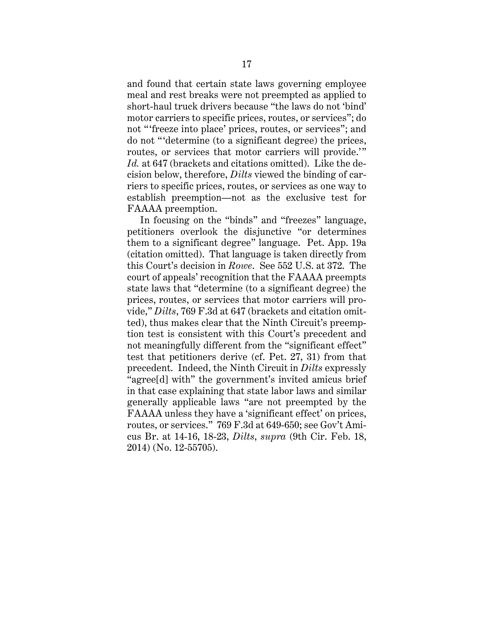and found that certain state laws governing employee meal and rest breaks were not preempted as applied to short-haul truck drivers because "the laws do not 'bind' motor carriers to specific prices, routes, or services"; do not "'freeze into place' prices, routes, or services"; and do not " 'determine (to a significant degree) the prices, routes, or services that motor carriers will provide." *Id.* at 647 (brackets and citations omitted). Like the decision below, therefore, *Dilts* viewed the binding of carriers to specific prices, routes, or services as one way to establish preemption—not as the exclusive test for FAAAA preemption.

In focusing on the "binds" and "freezes" language, petitioners overlook the disjunctive "or determines them to a significant degree" language. Pet. App. 19a (citation omitted). That language is taken directly from this Court's decision in *Rowe*. See 552 U.S. at 372. The court of appeals' recognition that the FAAAA preempts state laws that "determine (to a significant degree) the prices, routes, or services that motor carriers will provide," *Dilts*, 769 F.3d at 647 (brackets and citation omitted), thus makes clear that the Ninth Circuit's preemption test is consistent with this Court's precedent and not meaningfully different from the "significant effect" test that petitioners derive (cf. Pet. 27, 31) from that precedent. Indeed, the Ninth Circuit in *Dilts* expressly "agree[d] with" the government's invited amicus brief in that case explaining that state labor laws and similar generally applicable laws "are not preempted by the FAAAA unless they have a 'significant effect' on prices, routes, or services." 769 F.3d at 649-650; see Gov't Amicus Br. at 14-16, 18-23, *Dilts*, *supra* (9th Cir. Feb. 18, 2014) (No. 12-55705).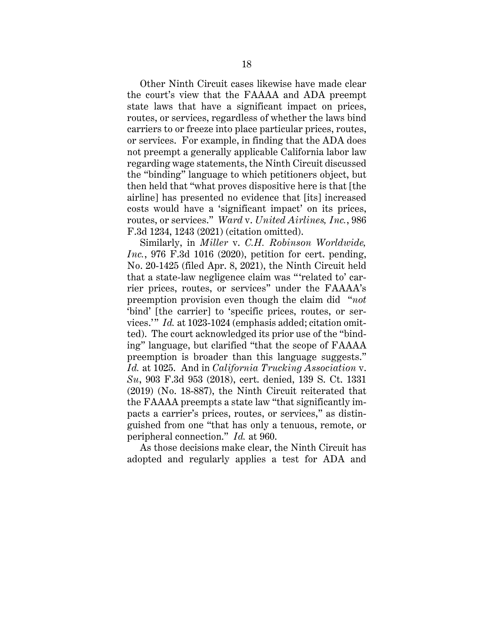Other Ninth Circuit cases likewise have made clear the court's view that the FAAAA and ADA preempt state laws that have a significant impact on prices, routes, or services, regardless of whether the laws bind carriers to or freeze into place particular prices, routes, or services. For example, in finding that the ADA does not preempt a generally applicable California labor law regarding wage statements, the Ninth Circuit discussed the "binding" language to which petitioners object, but then held that "what proves dispositive here is that [the airline] has presented no evidence that [its] increased costs would have a 'significant impact' on its prices, routes, or services." *Ward* v. *United Airlines, Inc.*, 986 F.3d 1234, 1243 (2021) (citation omitted).

Similarly, in *Miller* v. *C.H. Robinson Worldwide, Inc.*, 976 F.3d 1016 (2020), petition for cert. pending, No. 20-1425 (filed Apr. 8, 2021), the Ninth Circuit held that a state-law negligence claim was " 'related to' carrier prices, routes, or services" under the FAAAA's preemption provision even though the claim did "*not* 'bind' [the carrier] to 'specific prices, routes, or services.'" *Id.* at 1023-1024 (emphasis added; citation omitted). The court acknowledged its prior use of the "binding" language, but clarified "that the scope of FAAAA preemption is broader than this language suggests." *Id.* at 1025. And in *California Trucking Association* v. *Su*, 903 F.3d 953 (2018), cert. denied, 139 S. Ct. 1331 (2019) (No. 18-887), the Ninth Circuit reiterated that the FAAAA preempts a state law "that significantly impacts a carrier's prices, routes, or services," as distinguished from one "that has only a tenuous, remote, or peripheral connection." *Id.* at 960.

As those decisions make clear, the Ninth Circuit has adopted and regularly applies a test for ADA and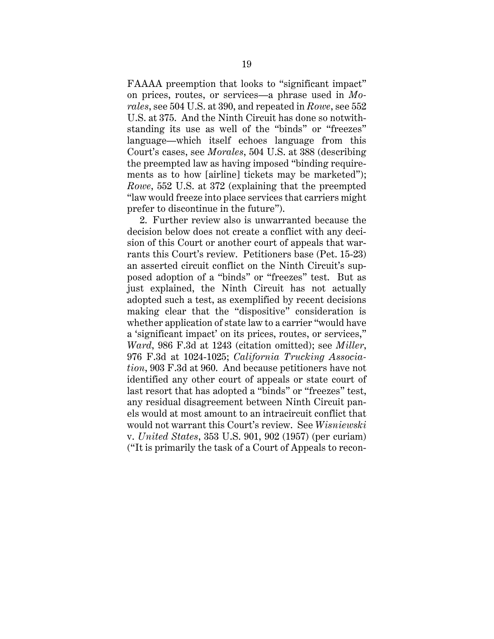FAAAA preemption that looks to "significant impact" on prices, routes, or services—a phrase used in *Morales*, see 504 U.S. at 390, and repeated in *Rowe*, see 552 U.S. at 375. And the Ninth Circuit has done so notwithstanding its use as well of the "binds" or "freezes" language—which itself echoes language from this Court's cases, see *Morales*, 504 U.S. at 388 (describing the preempted law as having imposed "binding requirements as to how [airline] tickets may be marketed"); *Rowe*, 552 U.S. at 372 (explaining that the preempted "law would freeze into place services that carriers might prefer to discontinue in the future").

2. Further review also is unwarranted because the decision below does not create a conflict with any decision of this Court or another court of appeals that warrants this Court's review. Petitioners base (Pet. 15-23) an asserted circuit conflict on the Ninth Circuit's supposed adoption of a "binds" or "freezes" test. But as just explained, the Ninth Circuit has not actually adopted such a test, as exemplified by recent decisions making clear that the "dispositive" consideration is whether application of state law to a carrier "would have a 'significant impact' on its prices, routes, or services," *Ward*, 986 F.3d at 1243 (citation omitted); see *Miller*, 976 F.3d at 1024-1025; *California Trucking Association*, 903 F.3d at 960. And because petitioners have not identified any other court of appeals or state court of last resort that has adopted a "binds" or "freezes" test, any residual disagreement between Ninth Circuit panels would at most amount to an intracircuit conflict that would not warrant this Court's review. See *Wisniewski* v. *United States*, 353 U.S. 901, 902 (1957) (per curiam) ("It is primarily the task of a Court of Appeals to recon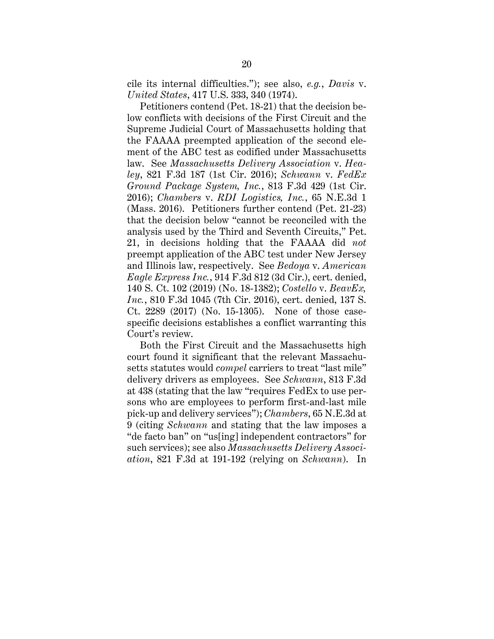cile its internal difficulties."); see also, *e.g.*, *Davis* v. *United States*, 417 U.S. 333, 340 (1974).

Petitioners contend (Pet. 18-21) that the decision below conflicts with decisions of the First Circuit and the Supreme Judicial Court of Massachusetts holding that the FAAAA preempted application of the second element of the ABC test as codified under Massachusetts law. See *Massachusetts Delivery Association* v. *Healey*, 821 F.3d 187 (1st Cir. 2016); *Schwann* v. *FedEx Ground Package System, Inc.*, 813 F.3d 429 (1st Cir. 2016); *Chambers* v. *RDI Logistics, Inc.*, 65 N.E.3d 1 (Mass. 2016). Petitioners further contend (Pet. 21-23) that the decision below "cannot be reconciled with the analysis used by the Third and Seventh Circuits," Pet. 21, in decisions holding that the FAAAA did *not* preempt application of the ABC test under New Jersey and Illinois law, respectively. See *Bedoya* v. *American Eagle Express Inc.*, 914 F.3d 812 (3d Cir.), cert. denied, 140 S. Ct. 102 (2019) (No. 18-1382); *Costello* v. *BeavEx, Inc.*, 810 F.3d 1045 (7th Cir. 2016), cert. denied, 137 S. Ct. 2289 (2017) (No. 15-1305). None of those casespecific decisions establishes a conflict warranting this Court's review.

Both the First Circuit and the Massachusetts high court found it significant that the relevant Massachusetts statutes would *compel* carriers to treat "last mile" delivery drivers as employees. See *Schwann*, 813 F.3d at 438 (stating that the law "requires FedEx to use persons who are employees to perform first-and-last mile pick-up and delivery services"); *Chambers*, 65 N.E.3d at 9 (citing *Schwann* and stating that the law imposes a "de facto ban" on "us[ing] independent contractors" for such services); see also *Massachusetts Delivery Association*, 821 F.3d at 191-192 (relying on *Schwann*). In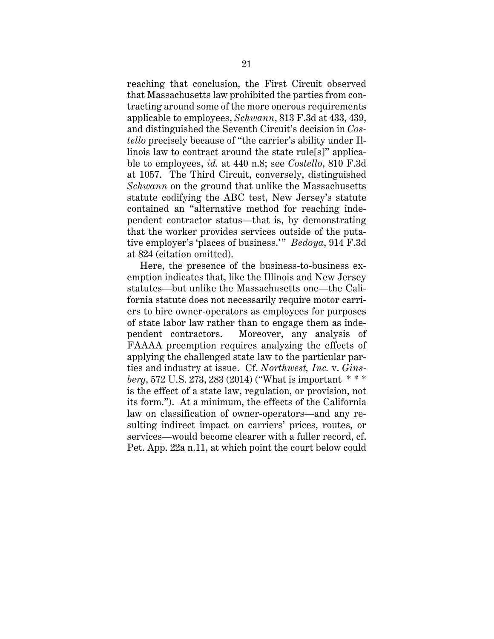reaching that conclusion, the First Circuit observed that Massachusetts law prohibited the parties from contracting around some of the more onerous requirements applicable to employees, *Schwann*, 813 F.3d at 433, 439, and distinguished the Seventh Circuit's decision in *Costello* precisely because of "the carrier's ability under Illinois law to contract around the state rule[s]" applicable to employees, *id.* at 440 n.8; see *Costello*, 810 F.3d at 1057. The Third Circuit, conversely, distinguished *Schwann* on the ground that unlike the Massachusetts statute codifying the ABC test, New Jersey's statute contained an "alternative method for reaching independent contractor status—that is, by demonstrating that the worker provides services outside of the putative employer's 'places of business.'" *Bedoya*, 914 F.3d at 824 (citation omitted).

Here, the presence of the business-to-business exemption indicates that, like the Illinois and New Jersey statutes—but unlike the Massachusetts one—the California statute does not necessarily require motor carriers to hire owner-operators as employees for purposes of state labor law rather than to engage them as independent contractors. Moreover, any analysis of FAAAA preemption requires analyzing the effects of applying the challenged state law to the particular parties and industry at issue. Cf. *Northwest, Inc.* v. *Ginsberg*, 572 U.S. 273, 283 (2014) ("What is important \* \* \* is the effect of a state law, regulation, or provision, not its form."). At a minimum, the effects of the California law on classification of owner-operators—and any resulting indirect impact on carriers' prices, routes, or services—would become clearer with a fuller record, cf. Pet. App. 22a n.11, at which point the court below could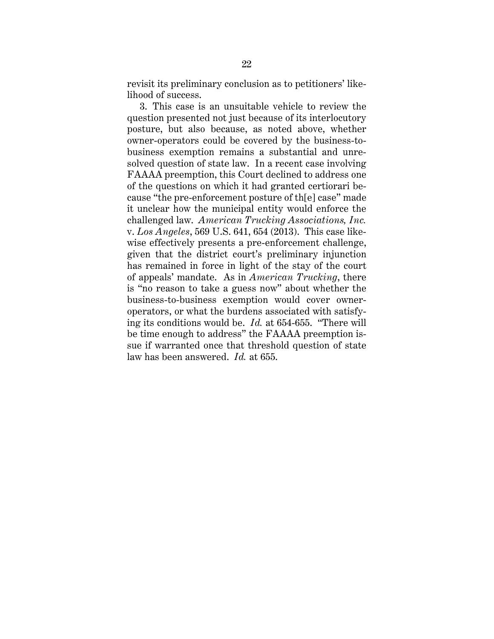revisit its preliminary conclusion as to petitioners' likelihood of success.

3. This case is an unsuitable vehicle to review the question presented not just because of its interlocutory posture, but also because, as noted above, whether owner-operators could be covered by the business-tobusiness exemption remains a substantial and unresolved question of state law. In a recent case involving FAAAA preemption, this Court declined to address one of the questions on which it had granted certiorari because "the pre-enforcement posture of th[e] case" made it unclear how the municipal entity would enforce the challenged law. *American Trucking Associations, Inc.* v. *Los Angeles*, 569 U.S. 641, 654 (2013). This case likewise effectively presents a pre-enforcement challenge, given that the district court's preliminary injunction has remained in force in light of the stay of the court of appeals' mandate. As in *American Trucking*, there is "no reason to take a guess now" about whether the business-to-business exemption would cover owneroperators, or what the burdens associated with satisfying its conditions would be. *Id.* at 654-655. "There will be time enough to address" the FAAAA preemption issue if warranted once that threshold question of state law has been answered. *Id.* at 655.